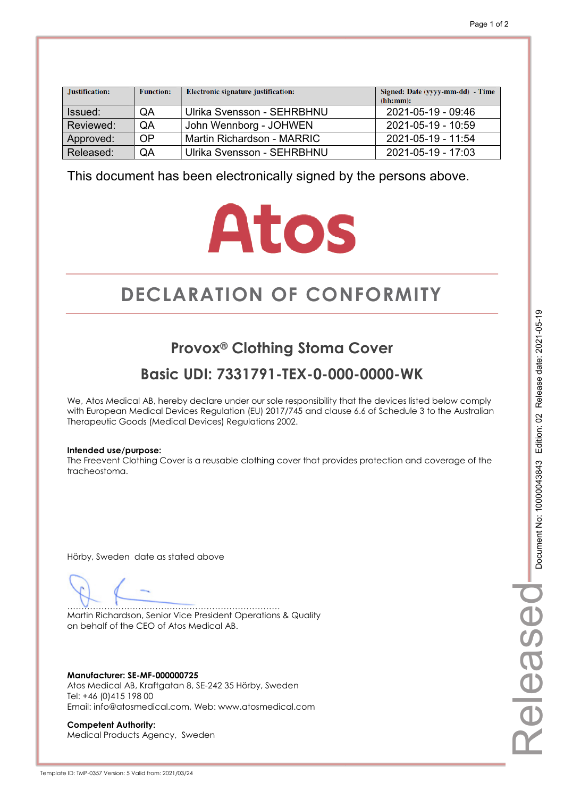| Justification: | <b>Function:</b> | Electronic signature justification: | Signed: Date (yyyy-mm-dd) - Time<br>(hh:mm): |
|----------------|------------------|-------------------------------------|----------------------------------------------|
| Issued:        | QA               | Ulrika Svensson - SEHRBHNU          | 2021-05-19 - 09:46                           |
| Reviewed:      | QA               | John Wennborg - JOHWEN              | 2021-05-19 - 10:59                           |
| Approved:      | OP               | Martin Richardson - MARRIC          | 2021-05-19 - 11:54                           |
| Released:      | QA               | Ulrika Svensson - SEHRBHNU          | 2021-05-19 - 17:03                           |

# **Atos**

# **DECLARATION OF CONFORMITY CONFORMITY**

## **Provox® Clothing Stoma Cover**

## **Basic UDI: 7331791-TEX-0-000-0000-WK**

We, Atos Medical AB, hereby declare under our sole responsibility that the devices listed below comply with European Medical Devices Regulation (EU) 2017/745 and clause 6.6 of Schedule 3 to the Australian Therapeutic Goods (Medical Devices) Regulations 2002.

### **Intended use/purpose:**

The Freevent Clothing Cover is a reusable clothing cover that provides protection and coverage of the tracheostoma.

Hörby, Sweden date as stated above

………………………………………………………………… Martin Richardson, Senior Vice President Operations & Quality on behalf of the CEO of Atos Medical AB.

**Manufacturer: SE-MF-000000725**  Atos Medical AB, Kraftgatan 8, SE-242 35 Hörby, Sweden Tel: +46 (0)415 198 00 Email: info@atosmedical.com, Web: www.atosmedical.com

**Competent Authority:**  Medical Products Agency, Sweden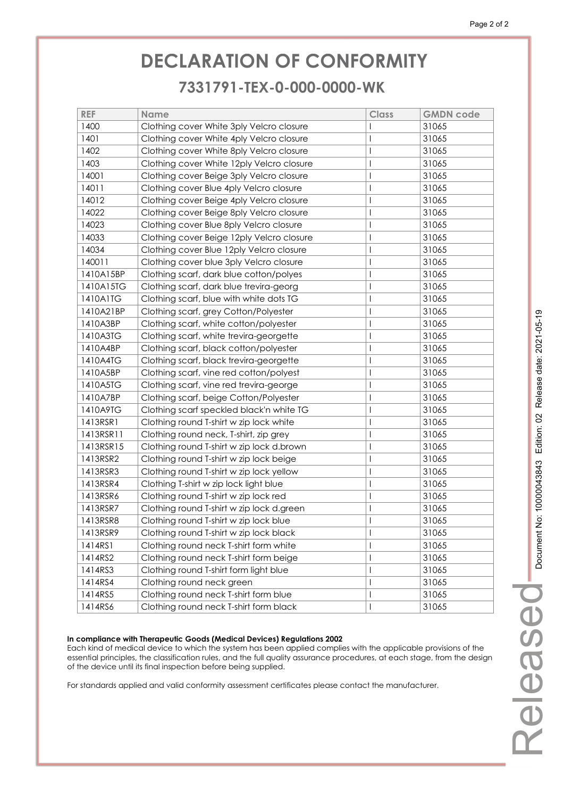# **DECLARATION OF CONFORMITY CONFORMITY**

## **7331791-TEX-0-000-0000-WK 7331791-TEX-0-000-0000-WK**

| <b>REF</b> | <b>Name</b>                               | <b>Class</b>             | <b>GMDN</b> code |
|------------|-------------------------------------------|--------------------------|------------------|
| 1400       | Clothing cover White 3ply Velcro closure  |                          | 31065            |
| 1401       | Clothing cover White 4ply Velcro closure  | I                        | 31065            |
| 1402       | Clothing cover White 8ply Velcro closure  | I                        | 31065            |
| 1403       | Clothing cover White 12ply Velcro closure | I                        | 31065            |
| 14001      | Clothing cover Beige 3ply Velcro closure  |                          | 31065            |
| 14011      | Clothing cover Blue 4ply Velcro closure   | I                        | 31065            |
| 14012      | Clothing cover Beige 4ply Velcro closure  | I                        | 31065            |
| 14022      | Clothing cover Beige 8ply Velcro closure  | $\overline{\phantom{a}}$ | 31065            |
| 14023      | Clothing cover Blue 8ply Velcro closure   | I                        | 31065            |
| 14033      | Clothing cover Beige 12ply Velcro closure | I                        | 31065            |
| 14034      | Clothing cover Blue 12ply Velcro closure  |                          | 31065            |
| 140011     | Clothing cover blue 3ply Velcro closure   | I                        | 31065            |
| 1410A15BP  | Clothing scarf, dark blue cotton/polyes   | I                        | 31065            |
| 1410A15TG  | Clothing scarf, dark blue trevira-georg   | I                        | 31065            |
| 1410A1TG   | Clothing scarf, blue with white dots TG   | I                        | 31065            |
| 1410A21BP  | Clothing scarf, grey Cotton/Polyester     | I                        | 31065            |
| 1410A3BP   | Clothing scarf, white cotton/polyester    |                          | 31065            |
| 1410A3TG   | Clothing scarf, white trevira-georgette   | I                        | 31065            |
| 1410A4BP   | Clothing scarf, black cotton/polyester    | I                        | 31065            |
| 1410A4TG   | Clothing scarf, black trevira-georgette   | I                        | 31065            |
| 1410A5BP   | Clothing scarf, vine red cotton/polyest   | I                        | 31065            |
| 1410A5TG   | Clothing scarf, vine red trevira-george   | I                        | 31065            |
| 1410A7BP   | Clothing scarf, beige Cotton/Polyester    |                          | 31065            |
| 1410A9TG   | Clothing scarf speckled black'n white TG  | I                        | 31065            |
| 1413RSR1   | Clothing round T-shirt w zip lock white   | I                        | 31065            |
| 1413RSR11  | Clothing round neck, T-shirt, zip grey    | I                        | 31065            |
| 1413RSR15  | Clothing round T-shirt w zip lock d.brown | $\overline{\phantom{a}}$ | 31065            |
| 1413RSR2   | Clothing round T-shirt w zip lock beige   | I                        | 31065            |
| 1413RSR3   | Clothing round T-shirt w zip lock yellow  | I                        | 31065            |
| 1413RSR4   | Clothing T-shirt w zip lock light blue    | I                        | 31065            |
| 1413RSR6   | Clothing round T-shirt w zip lock red     | I                        | 31065            |
| 1413RSR7   | Clothing round T-shirt w zip lock d.green | I                        | 31065            |
| 1413RSR8   | Clothing round T-shirt w zip lock blue    | $\overline{1}$           | 31065            |
| 1413RSR9   | Clothing round T-shirt w zip lock black   |                          | 31065            |
| 1414RS1    | Clothing round neck T-shirt form white    |                          | 31065            |
| 1414RS2    | Clothing round neck T-shirt form beige    | I                        | 31065            |
| 1414RS3    | Clothing round T-shirt form light blue    | I                        | 31065            |
| 1414RS4    | Clothing round neck green                 | I                        | 31065            |
| 1414RS5    | Clothing round neck T-shirt form blue     | I                        | 31065            |
| 1414RS6    | Clothing round neck T-shirt form black    |                          | 31065            |

#### **In compliance with Therapeutic Goods (Medical Devices) Regulations 2002**

Each kind of medical device to which the system has been applied complies with the applicable provisions of the essential principles, the classification rules, and the full quality assurance procedures, at each stage, from the design of the device until its final inspection before being supplied.

For standards applied and valid conformity assessment certificates please contact the manufacturer.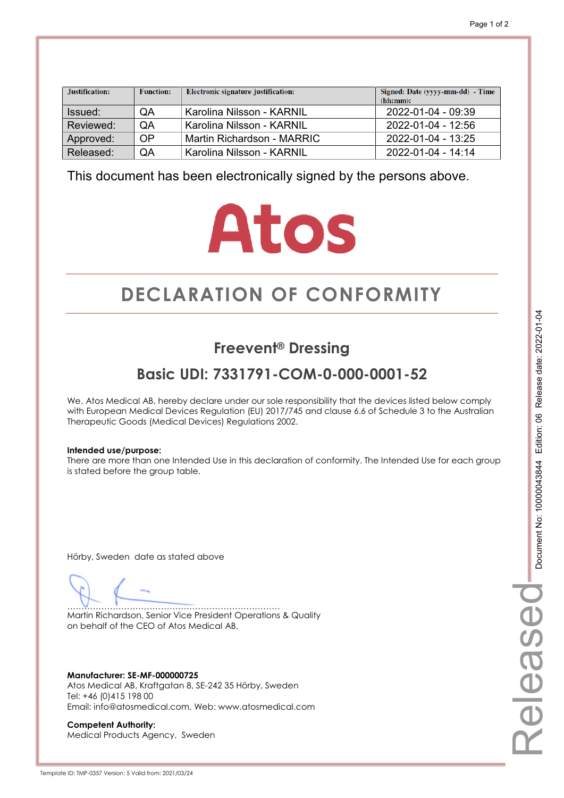| Justification: | <b>Function:</b> | Electronic signature justification: | Signed: Date (yyyy-mm-dd) - Time<br>(hh:mm): |
|----------------|------------------|-------------------------------------|----------------------------------------------|
| Issued:        | QA               | Karolina Nilsson - KARNIL           | 2022-01-04 - 09:39                           |
| Reviewed:      | QA               | Karolina Nilsson - KARNIL           | $2022 - 01 - 04 - 12:56$                     |
| Approved:      | <b>OP</b>        | Martin Richardson - MARRIC          | 2022-01-04 - 13:25                           |
| Released:      | QA               | Karolina Nilsson - KARNIL           | 2022-01-04 - 14:14                           |

# **Atos**

# **DECLARATION OF CONFORMITY CONFORMITY**

## **Freevent® Dressing**

## **Basic UDI: 7331791-COM-0-000-0001-52**

We, Atos Medical AB, hereby declare under our sole responsibility that the devices listed below comply with European Medical Devices Regulation (EU) 2017/745 and clause 6.6 of Schedule 3 to the Australian Therapeutic Goods (Medical Devices) Regulations 2002.

### **Intended use/purpose:**

There are more than one Intended Use in this declaration of conformity. The Intended Use for each group is stated before the group table.

Hörby, Sweden date as stated above

………………………………………………………………… Martin Richardson, Senior Vice President Operations & Quality on behalf of the CEO of Atos Medical AB.

**Manufacturer: SE-MF-000000725**  Atos Medical AB, Kraftgatan 8, SE-242 35 Hörby, Sweden Tel: +46 (0)415 198 00 Email: info@atosmedical.com, Web: www.atosmedical.com

**Competent Authority:**  Medical Products Agency, Sweden Released

eleased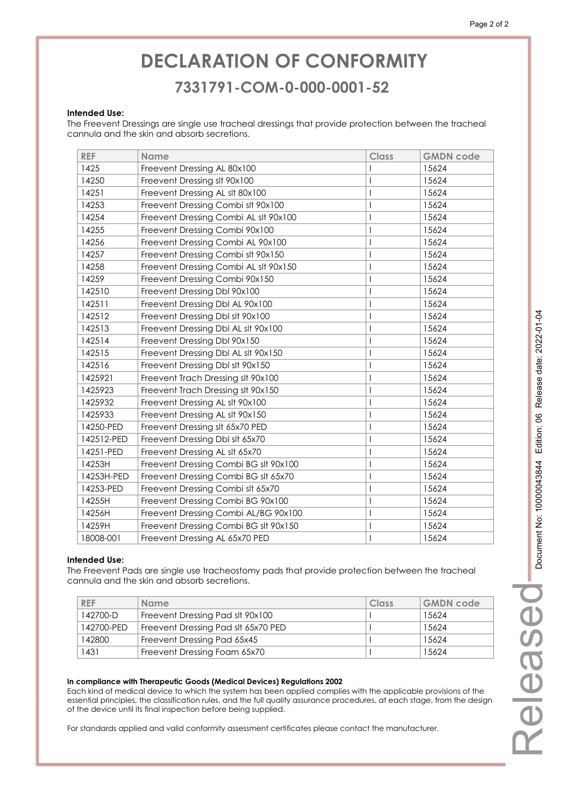## **DECLARATION OF CONFORMITY CONFORMITY 7331791-COM-0-000-0001-52 7331791-COM-0-000-0001-52**

#### **Intended Use:**

The Freevent Dressings are single use tracheal dressings that provide protection between the tracheal cannula and the skin and absorb secretions.

| <b>REF</b> | <b>Name</b>                           | <b>Class</b>             | <b>GMDN</b> code |
|------------|---------------------------------------|--------------------------|------------------|
| 1425       | Freevent Dressing AL 80x100           |                          | 15624            |
| 14250      | Freevent Dressing slt 90x100          |                          | 15624            |
| 14251      | Freevent Dressing AL slt 80x100       | I                        | 15624            |
| 14253      | Freevent Dressing Combi slt 90x100    | I                        | 15624            |
| 14254      | Freevent Dressing Combi AL slt 90x100 | I                        | 15624            |
| 14255      | Freevent Dressing Combi 90x100        |                          | 15624            |
| 14256      | Freevent Dressing Combi AL 90x100     |                          | 15624            |
| 14257      | Freevent Dressing Combi slt 90x150    |                          | 15624            |
| 14258      | Freevent Dressing Combi AL slt 90x150 | $\overline{\phantom{a}}$ | 15624            |
| 14259      | Freevent Dressing Combi 90x150        |                          | 15624            |
| 142510     | Freevent Dressing Dbl 90x100          | I                        | 15624            |
| 142511     | Freevent Dressing Dbl AL 90x100       | I                        | 15624            |
| 142512     | Freevent Dressing DbI sIt 90x100      |                          | 15624            |
| 142513     | Freevent Dressing Dbl AL slt 90x100   | I                        | 15624            |
| 142514     | Freevent Dressing Dbl 90x150          | I                        | 15624            |
| 142515     | Freevent Dressing Dbl AL slt 90x150   | I                        | 15624            |
| 142516     | Freevent Dressing DbI sIt 90x150      | I                        | 15624            |
| 1425921    | Freevent Trach Dressing slt 90x100    |                          | 15624            |
| 1425923    | Freevent Trach Dressing slt 90x150    | I                        | 15624            |
| 1425932    | Freevent Dressing AL slt 90x100       |                          | 15624            |
| 1425933    | Freevent Dressing AL slt 90x150       |                          | 15624            |
| 14250-PED  | Freevent Dressing slt 65x70 PED       | $\overline{\phantom{a}}$ | 15624            |
| 142512-PED | Freevent Dressing Dbl slt 65x70       | I                        | 15624            |
| 14251-PED  | Freevent Dressing AL slt 65x70        |                          | 15624            |
| 14253H     | Freevent Dressing Combi BG slt 90x100 |                          | 15624            |
| 14253H-PED | Freevent Dressing Combi BG slt 65x70  |                          | 15624            |
| 14253-PED  | Freevent Dressing Combi slt 65x70     | I                        | 15624            |
| 14255H     | Freevent Dressing Combi BG 90x100     | I                        | 15624            |
| 14256H     | Freevent Dressing Combi AL/BG 90x100  | I                        | 15624            |
| 14259H     | Freevent Dressing Combi BG slt 90x150 |                          | 15624            |
| 18008-001  | Freevent Dressing AL 65x70 PED        |                          | 15624            |

#### **Intended Use:**

The Freevent Pads are single use tracheostomy pads that provide protection between the tracheal cannula and the skin and absorb secretions.

| <b>REF</b> | <b>Name</b>                         | Class | <b>GMDN</b> code |
|------------|-------------------------------------|-------|------------------|
| 142700-D   | Freevent Dressing Pad slt 90x100    |       | 15624            |
| 142700-PED | Freevent Dressing Pad slt 65x70 PED |       | 15624            |
| 142800     | Freevent Dressing Pad 65x45         |       | 15624            |
| 1431       | Freevent Dressing Foam 65x70        |       | 15624            |

#### **In compliance with Therapeutic Goods (Medical Devices) Regulations 2002**

Each kind of medical device to which the system has been applied complies with the applicable provisions of the essential principles, the classification rules, and the full quality assurance procedures, at each stage, from the design of the device until its final inspection before being supplied.

For standards applied and valid conformity assessment certificates please contact the manufacturer.

Released

Release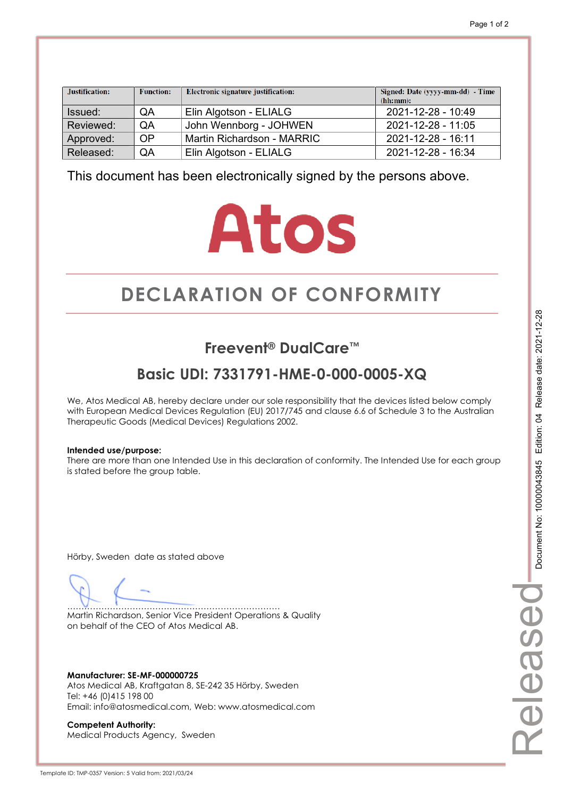| Justification: | <b>Function:</b> | Electronic signature justification: | Signed: Date (yyyy-mm-dd) - Time<br>(hh:mm): |
|----------------|------------------|-------------------------------------|----------------------------------------------|
| Issued:        | QA               | Elin Algotson - ELIALG              | 2021-12-28 - 10:49                           |
| Reviewed:      | QA               | John Wennborg - JOHWEN              | 2021-12-28 - 11:05                           |
| Approved:      | OP               | Martin Richardson - MARRIC          | 2021-12-28 - 16:11                           |
| Released:      | QA               | Elin Algotson - ELIALG              | 2021-12-28 - 16:34                           |

# **Atos**

# **DECLARATION OF CONFORMITY CONFORMITY**

## **Freevent® DualCare™**

## **Basic UDI: 7331791-HME-0-000-0005-XQ**

We, Atos Medical AB, hereby declare under our sole responsibility that the devices listed below comply with European Medical Devices Regulation (EU) 2017/745 and clause 6.6 of Schedule 3 to the Australian Therapeutic Goods (Medical Devices) Regulations 2002.

### **Intended use/purpose:**

There are more than one Intended Use in this declaration of conformity. The Intended Use for each group is stated before the group table.

Hörby, Sweden date as stated above

………………………………………………………………… Martin Richardson, Senior Vice President Operations & Quality on behalf of the CEO of Atos Medical AB.

**Manufacturer: SE-MF-000000725**  Atos Medical AB, Kraftgatan 8, SE-242 35 Hörby, Sweden Tel: +46 (0)415 198 00 Email: info@atosmedical.com, Web: www.atosmedical.com

**Competent Authority:**  Medical Products Agency, Sweden Released

elease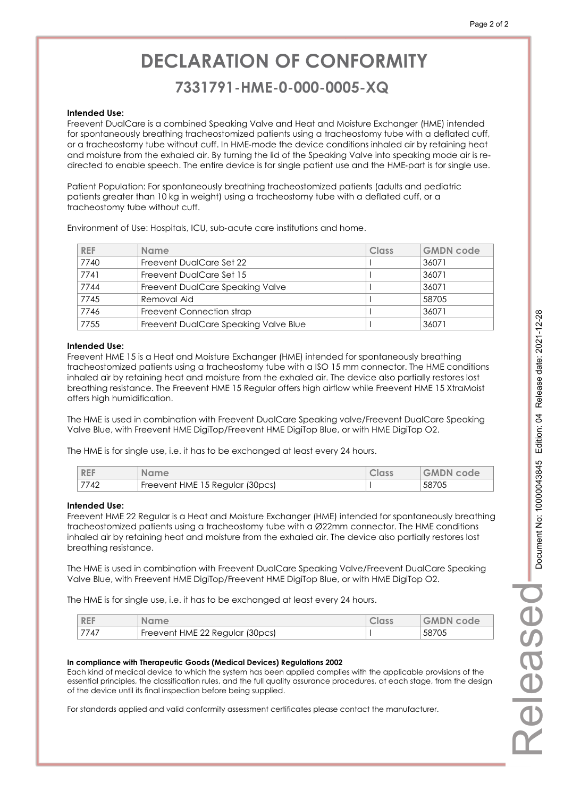# **DECLARATION OF CONFORMITY CONFORMITY**

## **7331791-HME-0-000-0005-XQ 7331791-HME-0-000-0005-XQ**

#### **Intended Use:**

Freevent DualCare is a combined Speaking Valve and Heat and Moisture Exchanger (HME) intended for spontaneously breathing tracheostomized patients using a tracheostomy tube with a deflated cuff, or a tracheostomy tube without cuff. In HME-mode the device conditions inhaled air by retaining heat and moisture from the exhaled air. By turning the lid of the Speaking Valve into speaking mode air is redirected to enable speech. The entire device is for single patient use and the HME-part is for single use.

Patient Population: For spontaneously breathing tracheostomized patients (adults and pediatric patients greater than 10 kg in weight) using a tracheostomy tube with a deflated cuff, or a tracheostomy tube without cuff.

| <b>REF</b> | <b>Name</b>                           | Class | <b>GMDN</b> code |
|------------|---------------------------------------|-------|------------------|
| 7740       | Freevent DualCare Set 22              |       | 36071            |
| 7741       | Freevent DualCare Set 15              |       | 36071            |
| 7744       | Freevent DualCare Speaking Valve      |       | 36071            |
| 7745       | Removal Aid                           |       | 58705            |
| 7746       | Freevent Connection strap             |       | 36071            |
| 7755       | Freevent DualCare Speaking Valve Blue |       | 36071            |

Environment of Use: Hospitals, ICU, sub-acute care institutions and home.

#### **Intended Use:**

Freevent HME 15 is a Heat and Moisture Exchanger (HME) intended for spontaneously breathing tracheostomized patients using a tracheostomy tube with a ISO 15 mm connector. The HME conditions inhaled air by retaining heat and moisture from the exhaled air. The device also partially restores lost breathing resistance. The Freevent HME 15 Regular offers high airflow while Freevent HME 15 XtraMoist offers high humidification.

The HME is used in combination with Freevent DualCare Speaking valve/Freevent DualCare Speaking Valve Blue, with Freevent HME DigiTop/Freevent HME DigiTop Blue, or with HME DigiTop O2.

The HME is for single use, i.e. it has to be exchanged at least every 24 hours.

| <b>REF</b> | <b>Name</b>                     | Class. | <b>GMDN</b><br>code |
|------------|---------------------------------|--------|---------------------|
| 7742       | Freevent HME 15 Regular (30pcs) |        | 58/05               |

#### **Intended Use:**

Freevent HME 22 Regular is a Heat and Moisture Exchanger (HME) intended for spontaneously breathing tracheostomized patients using a tracheostomy tube with a Ø22mm connector. The HME conditions inhaled air by retaining heat and moisture from the exhaled air. The device also partially restores lost breathing resistance.

The HME is used in combination with Freevent DualCare Speaking Valve/Freevent DualCare Speaking Valve Blue, with Freevent HME DigiTop/Freevent HME DigiTop Blue, or with HME DigiTop O2.

The HME is for single use, i.e. it has to be exchanged at least every 24 hours.

| <b>REF</b> | Name                            | <b>Class</b> | <b>GMDN</b> code |
|------------|---------------------------------|--------------|------------------|
| 7747       | Freevent HME 22 Regular (30pcs) |              | 58705            |

#### **In compliance with Therapeutic Goods (Medical Devices) Regulations 2002**

Each kind of medical device to which the system has been applied complies with the applicable provisions of the essential principles, the classification rules, and the full quality assurance procedures, at each stage, from the design of the device until its final inspection before being supplied.

For standards applied and valid conformity assessment certificates please contact the manufacturer.

Released

Release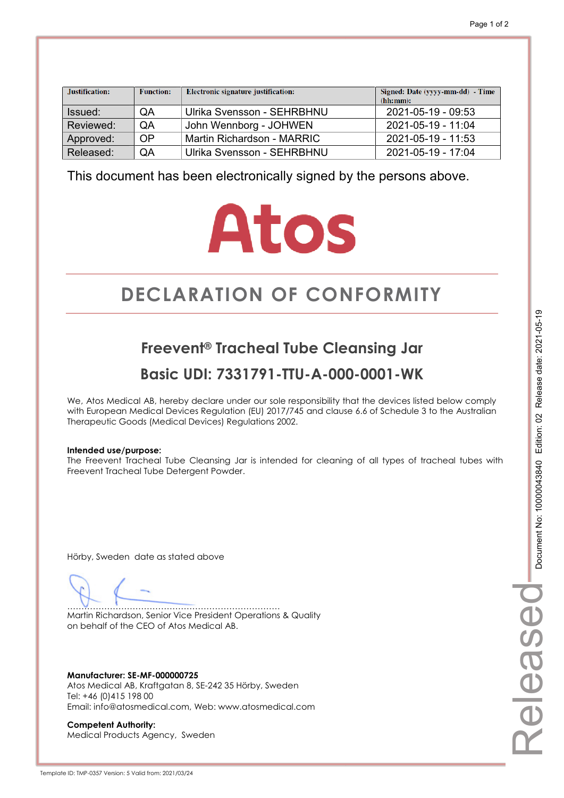| Justification: | <b>Function:</b> | Electronic signature justification: | Signed: Date (yyyy-mm-dd) - Time<br>(hh:mm): |
|----------------|------------------|-------------------------------------|----------------------------------------------|
| Issued:        | QA               | Ulrika Svensson - SEHRBHNU          | 2021-05-19 - 09:53                           |
| Reviewed:      | QA               | John Wennborg - JOHWEN              | 2021-05-19 - 11:04                           |
| Approved:      | OP               | Martin Richardson - MARRIC          | 2021-05-19 - 11:53                           |
| Released:      | QA               | Ulrika Svensson - SEHRBHNU          | 2021-05-19 - 17:04                           |

# **Atos**

# **DECLARATION OF CONFORMITY CONFORMITY**

**Freevent® Tracheal Tube Cleansing Jar Basic UDI: 7331791-TTU-A-000-0001-WK** 

We, Atos Medical AB, hereby declare under our sole responsibility that the devices listed below comply with European Medical Devices Regulation (EU) 2017/745 and clause 6.6 of Schedule 3 to the Australian Therapeutic Goods (Medical Devices) Regulations 2002.

#### **Intended use/purpose:**

The Freevent Tracheal Tube Cleansing Jar is intended for cleaning of all types of tracheal tubes with Freevent Tracheal Tube Detergent Powder.

Hörby, Sweden date as stated above

………………………………………………………………… Martin Richardson, Senior Vice President Operations & Quality on behalf of the CEO of Atos Medical AB.

**Manufacturer: SE-MF-000000725**  Atos Medical AB, Kraftgatan 8, SE-242 35 Hörby, Sweden Tel: +46 (0)415 198 00 Email: info@atosmedical.com, Web: www.atosmedical.com

**Competent Authority:**  Medical Products Agency, Sweden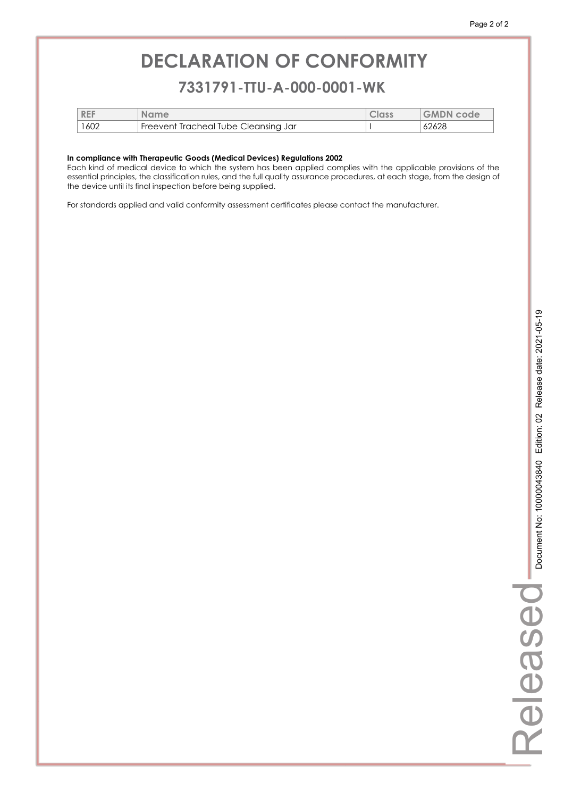## **DECLARATION OF CONFORMITY CONFORMITY**

## **7331791-TTU-A-000-0001-WK 7331791-TTU-A-000-0001-WK**

| <b>REF</b> | <b>Name</b>                          | <b>CIUSS</b> | <b>GMDN</b> code |
|------------|--------------------------------------|--------------|------------------|
| 1602       | Freevent Tracheal Tube Cleansing Jar |              | 62628            |

#### **In compliance with Therapeutic Goods (Medical Devices) Regulations 2002**

Each kind of medical device to which the system has been applied complies with the applicable provisions of the essential principles, the classification rules, and the full quality assurance procedures, at each stage, from the design of the device until its final inspection before being supplied.

For standards applied and valid conformity assessment certificates please contact the manufacturer.

Released

Released

L.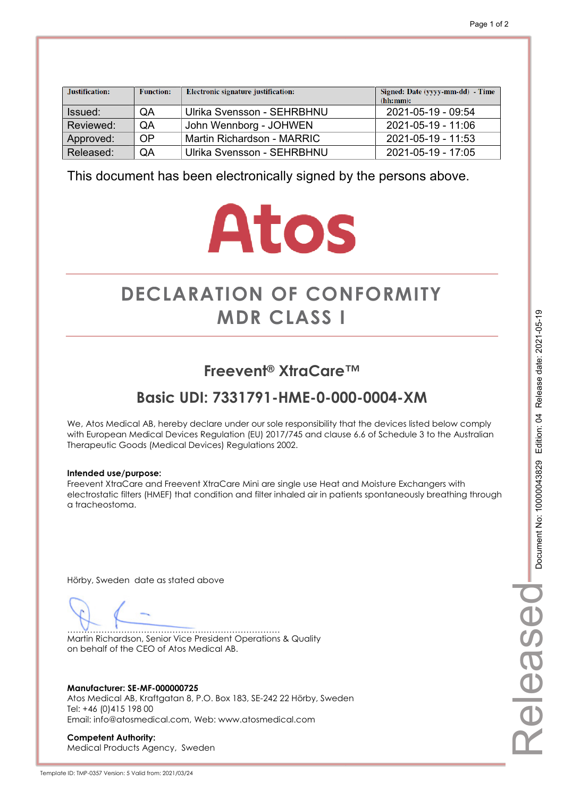| Justification: | <b>Function:</b> | Electronic signature justification: | Signed: Date (yyyy-mm-dd) - Time<br>(hh:mm): |
|----------------|------------------|-------------------------------------|----------------------------------------------|
| Issued:        | QA               | Ulrika Svensson - SEHRBHNU          | 2021-05-19 - 09:54                           |
| Reviewed:      | QA               | John Wennborg - JOHWEN              | 2021-05-19 - 11:06                           |
| Approved:      | OP               | Martin Richardson - MARRIC          | 2021-05-19 - 11:53                           |
| Released:      | QA               | Ulrika Svensson - SEHRBHNU          | 2021-05-19 - 17:05                           |

# **Atos**

## **DECLARATION OF CONFORMITY CONFORMITY MDR CLASS I CLASS I**

## **Freevent® XtraCare™**

## **Basic UDI: 7331791-HME-0-000-0004-XM**

We, Atos Medical AB, hereby declare under our sole responsibility that the devices listed below comply with European Medical Devices Regulation (EU) 2017/745 and clause 6.6 of Schedule 3 to the Australian Therapeutic Goods (Medical Devices) Regulations 2002.

#### **Intended use/purpose:**

Freevent XtraCare and Freevent XtraCare Mini are single use Heat and Moisture Exchangers with electrostatic filters (HMEF) that condition and filter inhaled air in patients spontaneously breathing through a tracheostoma.

Hörby, Sweden date as stated above

………………………………………………………………… Martin Richardson, Senior Vice President Operations & Quality on behalf of the CEO of Atos Medical AB.

**Manufacturer: SE-MF-000000725**  Atos Medical AB, Kraftgatan 8, P.O. Box 183, SE-242 22 Hörby, Sweden Tel: +46 (0)415 198 00 Email: info@atosmedical.com, Web: www.atosmedical.com

**Competent Authority:**  Medical Products Agency, Sweden Released

eleased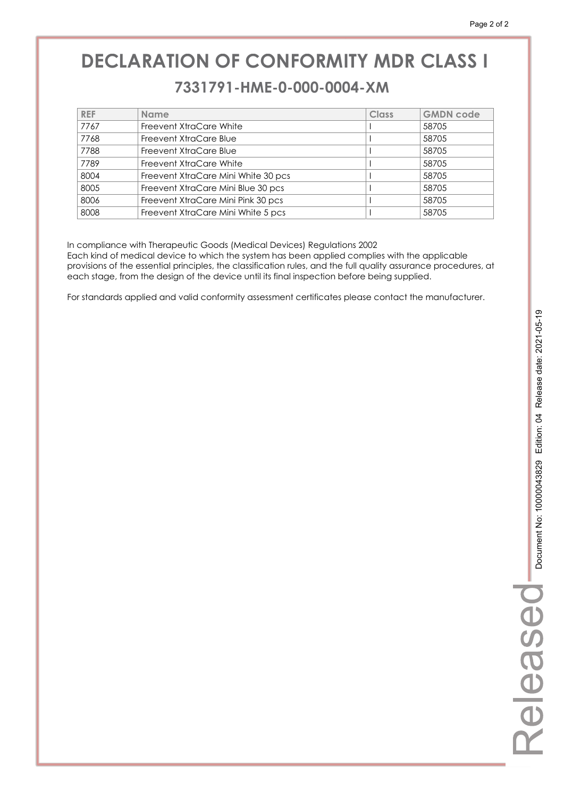## **DECLARATION OF CONFORMITY MDR CLASS I CLASS I 7331791-HME-0-000-0004-XM 7331791-HME-0-000-0004-XM**

| <b>REF</b> | <b>Name</b>                         | Class | <b>GMDN</b> code |
|------------|-------------------------------------|-------|------------------|
| 7767       | Freevent XtraCare White             |       | 58705            |
| 7768       | Freevent XtraCare Blue              |       | 58705            |
| 7788       | Freevent XtraCare Blue              |       | 58705            |
| 7789       | Freevent XtraCare White             |       | 58705            |
| 8004       | Freevent XtraCare Mini White 30 pcs |       | 58705            |
| 8005       | Freevent XtraCare Mini Blue 30 pcs  |       | 58705            |
| 8006       | Freevent XtraCare Mini Pink 30 pcs  |       | 58705            |
| 8008       | Freevent XtraCare Mini White 5 pcs  |       | 58705            |

In compliance with Therapeutic Goods (Medical Devices) Regulations 2002

Each kind of medical device to which the system has been applied complies with the applicable provisions of the essential principles, the classification rules, and the full quality assurance procedures, at each stage, from the design of the device until its final inspection before being supplied.

For standards applied and valid conformity assessment certificates please contact the manufacturer.

Released-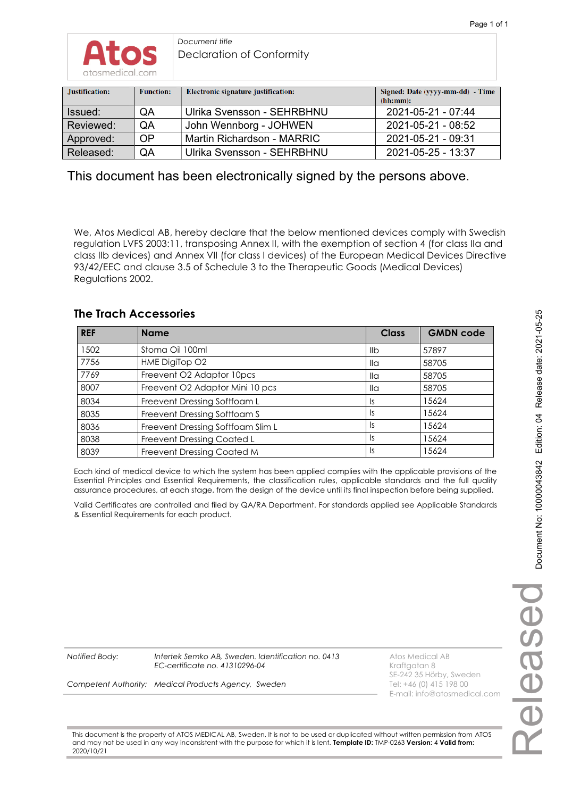*Document title*  Declaration of Conformity

| Justification: | <b>Function:</b> | Electronic signature justification: | Signed: Date (yyyy-mm-dd) - Time<br>(hh:mm): |
|----------------|------------------|-------------------------------------|----------------------------------------------|
| Issued:        | QA               | Ulrika Svensson - SEHRBHNU          | 2021-05-21 - 07:44                           |
| Reviewed:      | <b>OA</b>        | John Wennborg - JOHWEN              | 2021-05-21 - 08:52                           |
| Approved:      | <b>OP</b>        | Martin Richardson - MARRIC          | 2021-05-21 - 09:31                           |
| Released:      | QA               | Ulrika Svensson - SEHRBHNU          | $2021 - 05 - 25 - 13.37$                     |

This document has been electronically signed by the persons above.

We, Atos Medical AB, hereby declare that the below mentioned devices comply with Swedish regulation LVFS 2003:11, transposing Annex II, with the exemption of section 4 (for class IIa and class IIb devices) and Annex VII (for class I devices) of the European Medical Devices Directive 93/42/EEC and clause 3.5 of Schedule 3 to the Therapeutic Goods (Medical Devices) Regulations 2002.

### **The Trach Accessories**

| <b>REF</b> | <b>Name</b>                       | <b>Class</b>         | <b>GMDN code</b> |
|------------|-----------------------------------|----------------------|------------------|
| 1502       | Stoma Oil 100ml                   | llb                  | 57897            |
| 7756       | HME DigiTop O2                    | $\mathsf{II} \alpha$ | 58705            |
| 7769       | Freevent O2 Adaptor 10pcs         | lla                  | 58705            |
| 8007       | Freevent O2 Adaptor Mini 10 pcs   | lla                  | 58705            |
| 8034       | Freevent Dressing Softfoam L      | 1s                   | 15624            |
| 8035       | Freevent Dressing Softfoam S      | 1s                   | 15624            |
| 8036       | Freevent Dressing Softfoam Slim L | 1s                   | 15624            |
| 8038       | <b>Freevent Dressing Coated L</b> | 1s                   | 15624            |
| 8039       | Freevent Dressing Coated M        | 1s                   | 15624            |

Each kind of medical device to which the system has been applied complies with the applicable provisions of the Essential Principles and Essential Requirements, the classification rules, applicable standards and the full quality assurance procedures, at each stage, from the design of the device until its final inspection before being supplied.

Valid Certificates are controlled and filed by QA/RA Department. For standards applied see Applicable Standards & Essential Requirements for each product.

*Notified Body: Intertek Semko AB, Sweden. Identification no. 0413* Atos Medical AB *EC-certificate no. 41310296-04* **Kraftgatan 8** 

*Competent Authority: Medical Products Agency, Sweden* 

SE-242 35 Hörby, Sweden<br>Tel: +46 (0) 415 198 00 E-mail: info@atosmedical.com

This document is the property of ATOS MEDICAL AB, Sweden. It is not to be used or duplicated without written permission from ATOS and may not be used in any way inconsistent with the purpose for which it is lent. **Template ID:** TMP-0263 **Version:** 4 **Valid from:** 2020/10/21